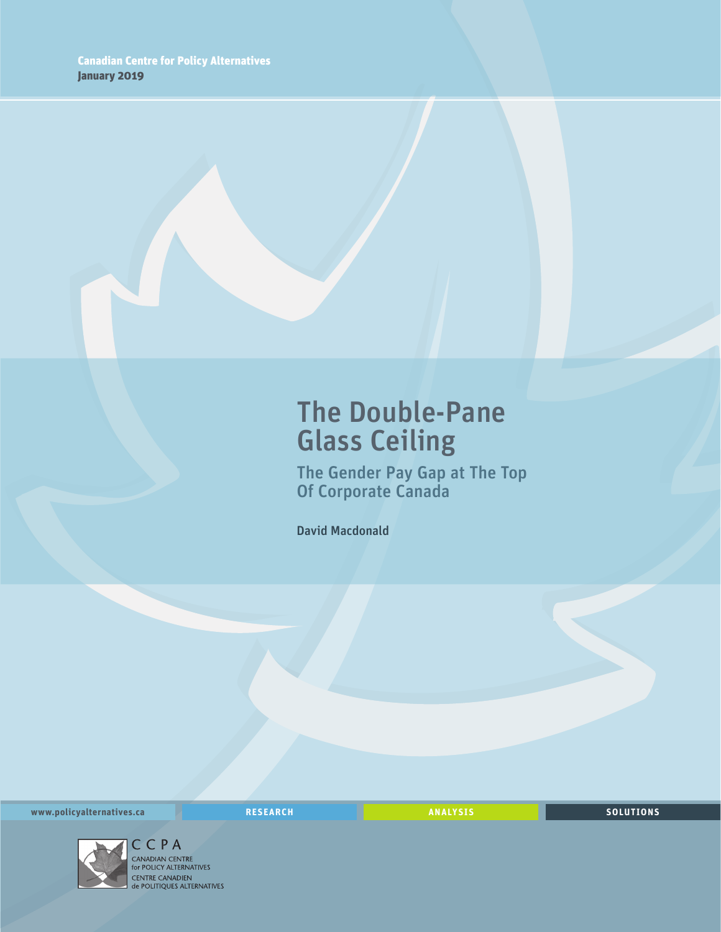### The Double-Pane Glass Ceiling

The Gender Pay Gap at The Top Of Corporate Canada

David Macdonald

**www.policyalternatives.ca** <mark>RESEARCH</mark> ANALYSIS SOLUTIONS



CENTRE CANADIEN<br> **CENTRE CANADIEN<br>
de POLITIQUES ALTERNATIVES**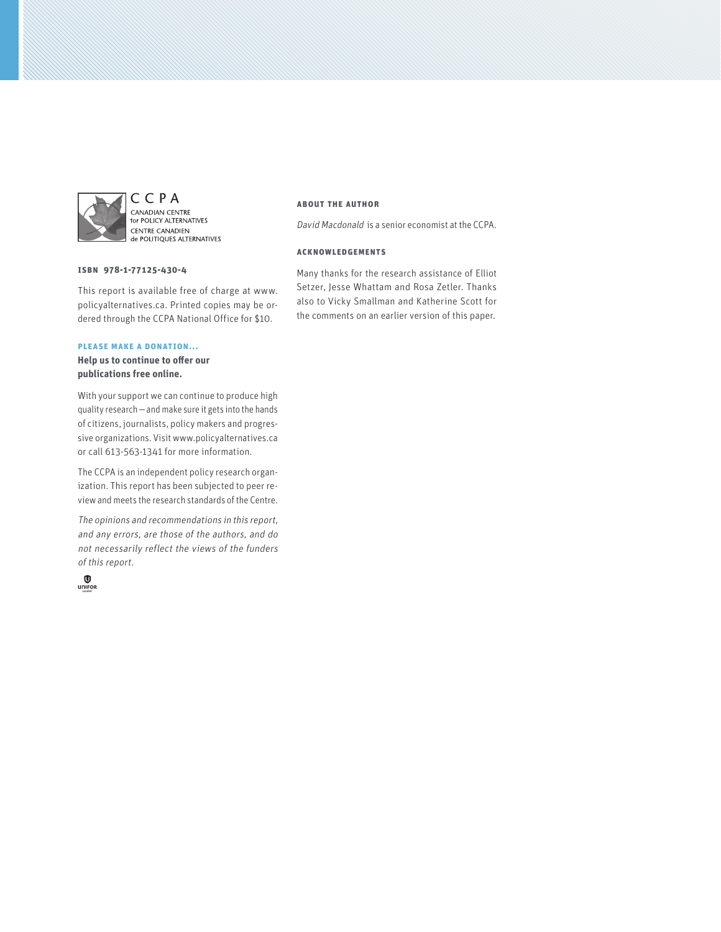

CCPA CANADIAN CENTRE<br>for POLICY ALTERNATIVES **CENTRE CANADIEN** de POLITIQUES ALTERNATIVES

#### **ISBN 978-1-77125-430-4**

This report is available free of charge at www. policyalternatives.ca. Printed copies may be ordered through the CCPA National Office for \$10.

#### **Please make a donation...**

**Help us to continue to offer our publications free online.**

With your support we can continue to produce high quality research—and make sure it gets into the hands of citizens, journalists, policy makers and progressive organizations. Visit www.policyalternatives.ca or call 613-563-1341 for more information.

The CCPA is an independent policy research organization. This report has been subjected to peer review and meets the research standards of the Centre.

The opinions and recommendations in this report, and any errors, are those of the authors, and do not necessarily reflect the views of the funders of this report.



#### **About the author**

David Macdonald is a senior economist at the CCPA.

#### **Acknowledgements**

Many thanks for the research assistance of Elliot Setzer, Jesse Whattam and Rosa Zetler. Thanks also to Vicky Smallman and Katherine Scott for the comments on an earlier version of this paper.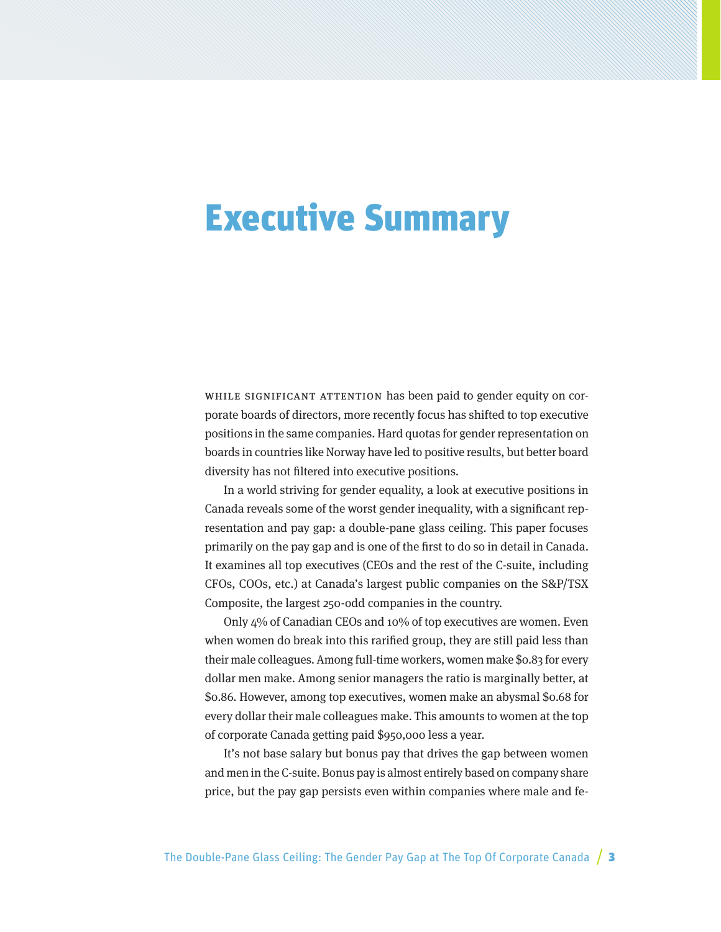## Executive Summary

WHILE SIGNIFICANT ATTENTION has been paid to gender equity on corporate boards of directors, more recently focus has shifted to top executive positions in the same companies. Hard quotas for gender representation on boards in countries like Norway have led to positive results, but better board diversity has not filtered into executive positions.

In a world striving for gender equality, a look at executive positions in Canada reveals some of the worst gender inequality, with a significant representation and pay gap: a double-pane glass ceiling. This paper focuses primarily on the pay gap and is one of the first to do so in detail in Canada. It examines all top executives (CEOs and the rest of the C-suite, including CFOs, COOs, etc.) at Canada's largest public companies on the S&P/TSX Composite, the largest 250-odd companies in the country.

Only 4% of Canadian CEOs and 10% of top executives are women. Even when women do break into this rarified group, they are still paid less than their male colleagues. Among full-time workers, women make \$0.83 for every dollar men make. Among senior managers the ratio is marginally better, at \$0.86. However, among top executives, women make an abysmal \$0.68 for every dollar their male colleagues make. This amounts to women at the top of corporate Canada getting paid \$950,000 less a year.

It's not base salary but bonus pay that drives the gap between women and men in the C-suite. Bonus pay is almost entirely based on company share price, but the pay gap persists even within companies where male and fe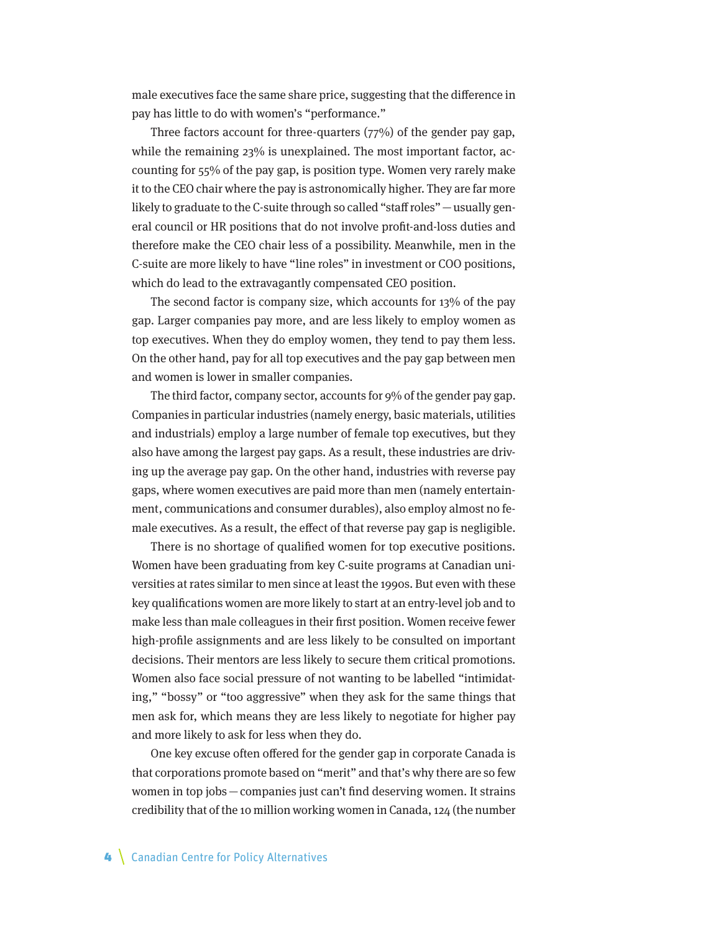male executives face the same share price, suggesting that the difference in pay has little to do with women's "performance."

Three factors account for three-quarters  $(77%)$  of the gender pay gap, while the remaining 23% is unexplained. The most important factor, accounting for 55% of the pay gap, is position type. Women very rarely make it to the CEO chair where the pay is astronomically higher. They are far more likely to graduate to the C-suite through so called "staff roles"—usually general council or HR positions that do not involve profit-and-loss duties and therefore make the CEO chair less of a possibility. Meanwhile, men in the C-suite are more likely to have "line roles" in investment or COO positions, which do lead to the extravagantly compensated CEO position.

The second factor is company size, which accounts for 13% of the pay gap. Larger companies pay more, and are less likely to employ women as top executives. When they do employ women, they tend to pay them less. On the other hand, pay for all top executives and the pay gap between men and women is lower in smaller companies.

The third factor, company sector, accounts for 9% of the gender pay gap. Companies in particular industries (namely energy, basic materials, utilities and industrials) employ a large number of female top executives, but they also have among the largest pay gaps. As a result, these industries are driving up the average pay gap. On the other hand, industries with reverse pay gaps, where women executives are paid more than men (namely entertainment, communications and consumer durables), also employ almost no female executives. As a result, the effect of that reverse pay gap is negligible.

There is no shortage of qualified women for top executive positions. Women have been graduating from key C-suite programs at Canadian universities at rates similar to men since at least the 1990s. But even with these key qualifications women are more likely to start at an entry-level job and to make less than male colleagues in their first position. Women receive fewer high-profile assignments and are less likely to be consulted on important decisions. Their mentors are less likely to secure them critical promotions. Women also face social pressure of not wanting to be labelled "intimidating," "bossy" or "too aggressive" when they ask for the same things that men ask for, which means they are less likely to negotiate for higher pay and more likely to ask for less when they do.

One key excuse often offered for the gender gap in corporate Canada is that corporations promote based on "merit" and that's why there are so few women in top jobs—companies just can't find deserving women. It strains credibility that of the 10 million working women in Canada, 124 (the number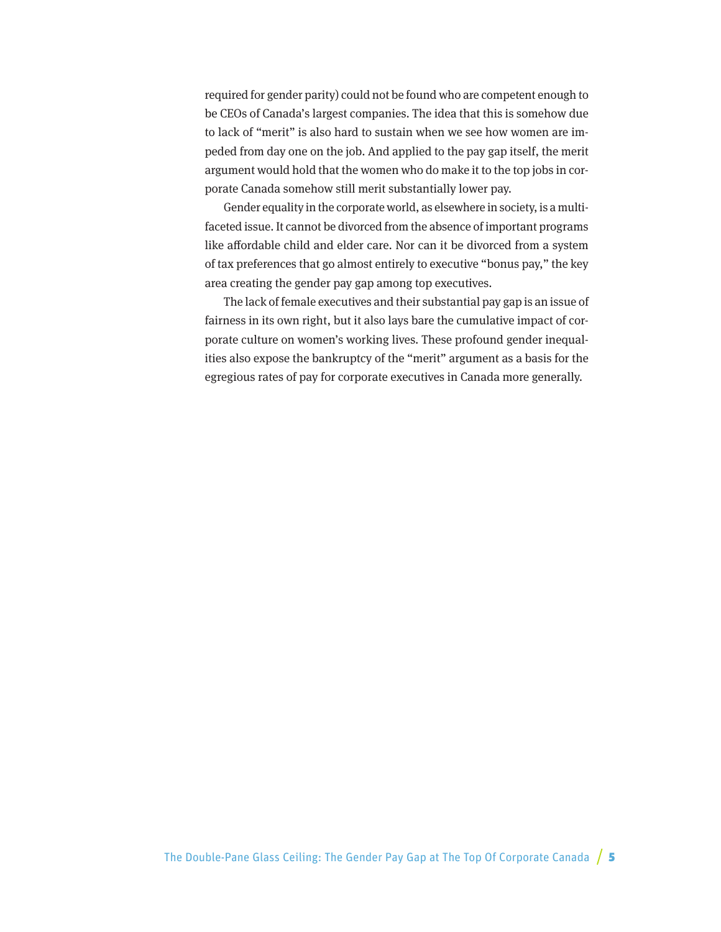required for gender parity) could not be found who are competent enough to be CEOs of Canada's largest companies. The idea that this is somehow due to lack of "merit" is also hard to sustain when we see how women are impeded from day one on the job. And applied to the pay gap itself, the merit argument would hold that the women who do make it to the top jobs in corporate Canada somehow still merit substantially lower pay.

Gender equality in the corporate world, as elsewhere in society, is a multifaceted issue. It cannot be divorced from the absence of important programs like affordable child and elder care. Nor can it be divorced from a system of tax preferences that go almost entirely to executive "bonus pay," the key area creating the gender pay gap among top executives.

The lack of female executives and their substantial pay gap is an issue of fairness in its own right, but it also lays bare the cumulative impact of corporate culture on women's working lives. These profound gender inequalities also expose the bankruptcy of the "merit" argument as a basis for the egregious rates of pay for corporate executives in Canada more generally.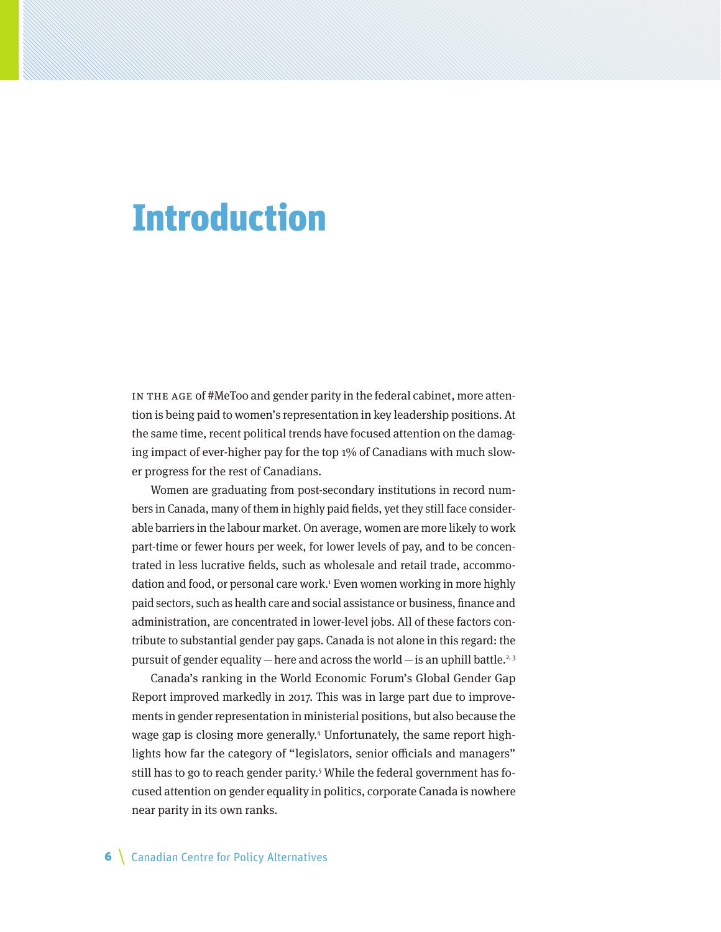### Introduction

In the age of #MeToo and gender parity in the federal cabinet, more attention is being paid to women's representation in key leadership positions. At the same time, recent political trends have focused attention on the damaging impact of ever-higher pay for the top 1% of Canadians with much slower progress for the rest of Canadians.

Women are graduating from post-secondary institutions in record numbers in Canada, many of them in highly paid fields, yet they still face considerable barriers in the labour market. On average, women are more likely to work part-time or fewer hours per week, for lower levels of pay, and to be concentrated in less lucrative fields, such as wholesale and retail trade, accommodation and food, or personal care work.1 Even women working in more highly paid sectors, such as health care and social assistance or business, finance and administration, are concentrated in lower-level jobs. All of these factors contribute to substantial gender pay gaps. Canada is not alone in this regard: the pursuit of gender equality — here and across the world — is an uphill battle.<sup>2, 3</sup>

Canada's ranking in the World Economic Forum's Global Gender Gap Report improved markedly in 2017. This was in large part due to improvements in gender representation in ministerial positions, but also because the wage gap is closing more generally.<sup>4</sup> Unfortunately, the same report highlights how far the category of "legislators, senior officials and managers" still has to go to reach gender parity.5 While the federal government has focused attention on gender equality in politics, corporate Canada is nowhere near parity in its own ranks.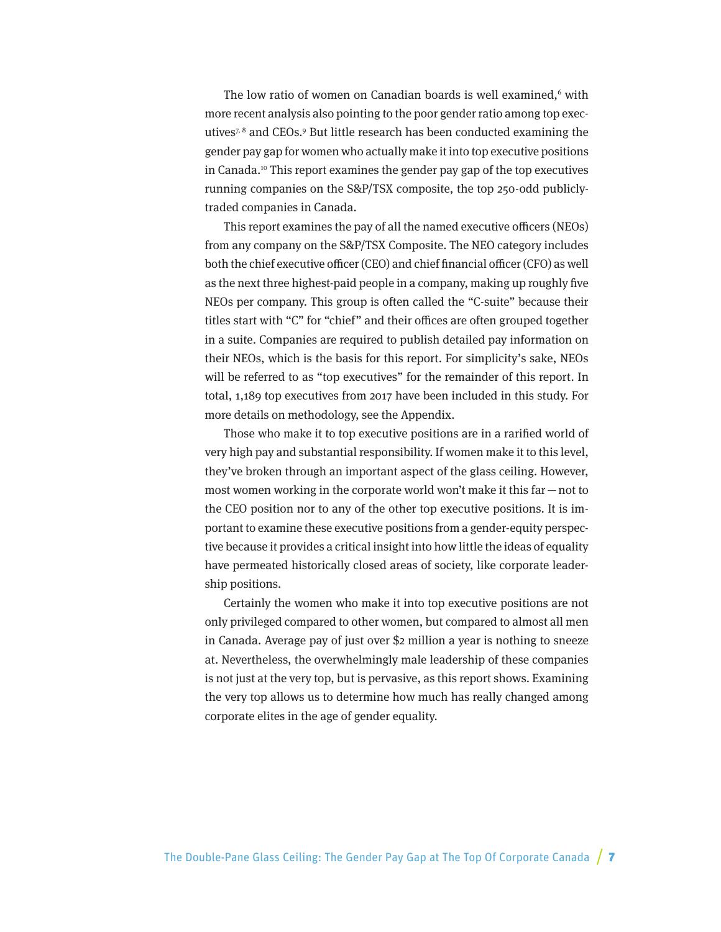The low ratio of women on Canadian boards is well examined,<sup>6</sup> with more recent analysis also pointing to the poor gender ratio among top executives7, 8 and CEOs.9 But little research has been conducted examining the gender pay gap for women who actually make it into top executive positions in Canada.10 This report examines the gender pay gap of the top executives running companies on the S&P/TSX composite, the top 250-odd publiclytraded companies in Canada.

This report examines the pay of all the named executive officers (NEOs) from any company on the S&P/TSX Composite. The NEO category includes both the chief executive officer (CEO) and chief financial officer (CFO) as well as the next three highest-paid people in a company, making up roughly five NEOs per company. This group is often called the "C-suite" because their titles start with "C" for "chief" and their offices are often grouped together in a suite. Companies are required to publish detailed pay information on their NEOs, which is the basis for this report. For simplicity's sake, NEOs will be referred to as "top executives" for the remainder of this report. In total, 1,189 top executives from 2017 have been included in this study. For more details on methodology, see the Appendix.

Those who make it to top executive positions are in a rarified world of very high pay and substantial responsibility. If women make it to this level, they've broken through an important aspect of the glass ceiling. However, most women working in the corporate world won't make it this far—not to the CEO position nor to any of the other top executive positions. It is important to examine these executive positions from a gender-equity perspective because it provides a critical insight into how little the ideas of equality have permeated historically closed areas of society, like corporate leadership positions.

Certainly the women who make it into top executive positions are not only privileged compared to other women, but compared to almost all men in Canada. Average pay of just over \$2 million a year is nothing to sneeze at. Nevertheless, the overwhelmingly male leadership of these companies is not just at the very top, but is pervasive, as this report shows. Examining the very top allows us to determine how much has really changed among corporate elites in the age of gender equality.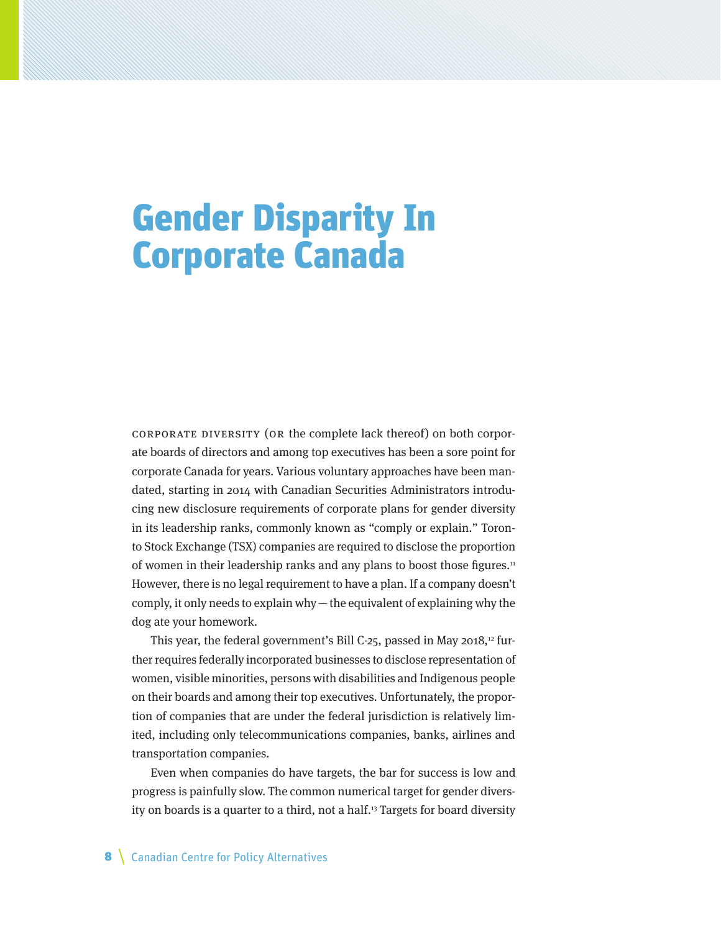# Gender Disparity In Corporate Canada

Corporate diversity (or the complete lack thereof) on both corporate boards of directors and among top executives has been a sore point for corporate Canada for years. Various voluntary approaches have been mandated, starting in 2014 with Canadian Securities Administrators introducing new disclosure requirements of corporate plans for gender diversity in its leadership ranks, commonly known as "comply or explain." Toronto Stock Exchange (TSX) companies are required to disclose the proportion of women in their leadership ranks and any plans to boost those figures.<sup>11</sup> However, there is no legal requirement to have a plan. If a company doesn't comply, it only needs to explain why  $-$  the equivalent of explaining why the dog ate your homework.

This year, the federal government's Bill C-25, passed in May 2018,<sup>12</sup> further requires federally incorporated businesses to disclose representation of women, visible minorities, persons with disabilities and Indigenous people on their boards and among their top executives. Unfortunately, the proportion of companies that are under the federal jurisdiction is relatively limited, including only telecommunications companies, banks, airlines and transportation companies.

Even when companies do have targets, the bar for success is low and progress is painfully slow. The common numerical target for gender diversity on boards is a quarter to a third, not a half.13 Targets for board diversity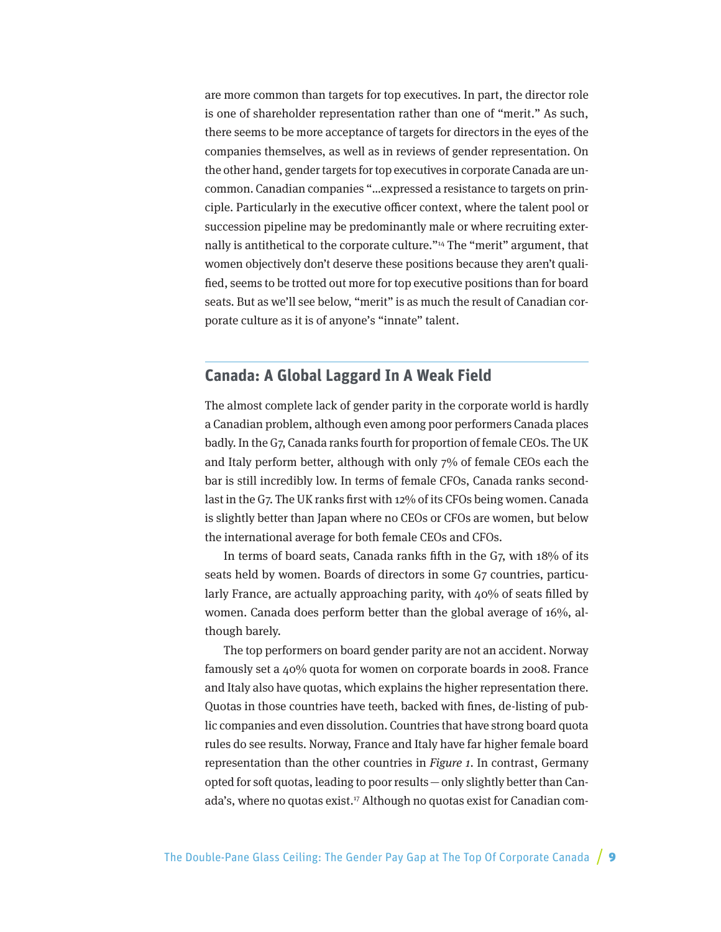are more common than targets for top executives. In part, the director role is one of shareholder representation rather than one of "merit." As such, there seems to be more acceptance of targets for directors in the eyes of the companies themselves, as well as in reviews of gender representation. On the other hand, gender targets for top executives in corporate Canada are uncommon. Canadian companies "…expressed a resistance to targets on principle. Particularly in the executive officer context, where the talent pool or succession pipeline may be predominantly male or where recruiting externally is antithetical to the corporate culture."14 The "merit" argument, that women objectively don't deserve these positions because they aren't qualified, seems to be trotted out more for top executive positions than for board seats. But as we'll see below, "merit" is as much the result of Canadian corporate culture as it is of anyone's "innate" talent.

### **Canada: A Global Laggard In A Weak Field**

The almost complete lack of gender parity in the corporate world is hardly a Canadian problem, although even among poor performers Canada places badly. In the G7, Canada ranks fourth for proportion of female CEOs. The UK and Italy perform better, although with only 7% of female CEOs each the bar is still incredibly low. In terms of female CFOs, Canada ranks secondlast in the G7. The UK ranks first with 12% of its CFOs being women. Canada is slightly better than Japan where no CEOs or CFOs are women, but below the international average for both female CEOs and CFOs.

In terms of board seats, Canada ranks fifth in the G7, with 18% of its seats held by women. Boards of directors in some G7 countries, particularly France, are actually approaching parity, with 40% of seats filled by women. Canada does perform better than the global average of 16%, although barely.

The top performers on board gender parity are not an accident. Norway famously set a 40% quota for women on corporate boards in 2008. France and Italy also have quotas, which explains the higher representation there. Quotas in those countries have teeth, backed with fines, de-listing of public companies and even dissolution. Countries that have strong board quota rules do see results. Norway, France and Italy have far higher female board representation than the other countries in Figure 1. In contrast, Germany opted for soft quotas, leading to poor results—only slightly better than Canada's, where no quotas exist.<sup>17</sup> Although no quotas exist for Canadian com-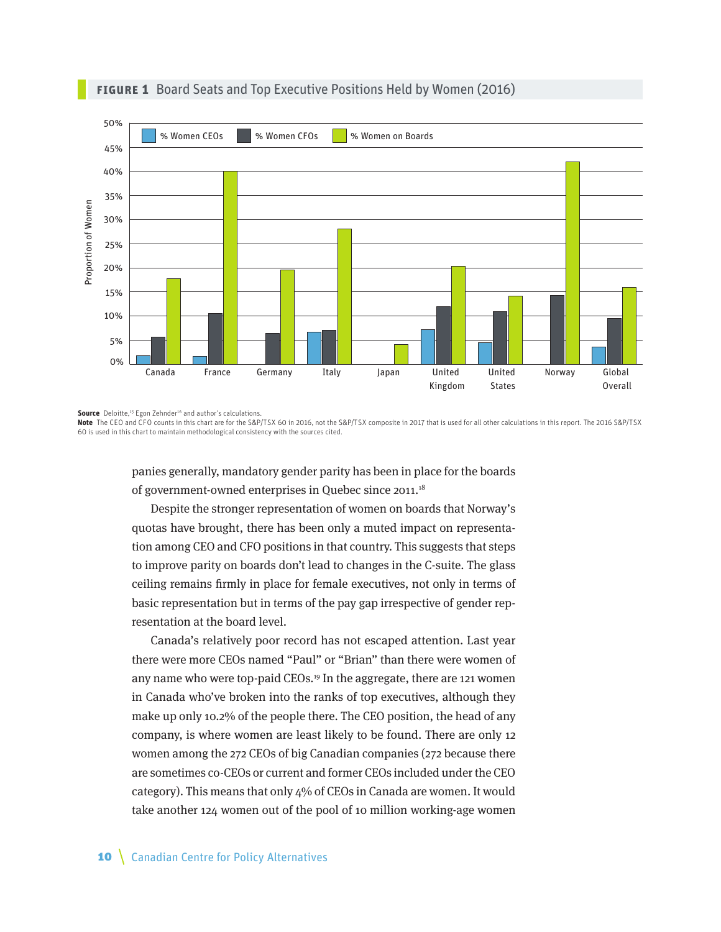

#### **Figure 1** Board Seats and Top Executive Positions Held by Women (2016)

**Source** Deloitte,<sup>15</sup> Egon Zehnder<sup>16</sup> and author's calculations.

**Note** The CEO and CFO counts in this chart are for the S&P/TSX 60 in 2016, not the S&P/TSX composite in 2017 that is used for all other calculations in this report. The 2016 S&P/TSX 60 is used in this chart to maintain methodological consistency with the sources cited.

panies generally, mandatory gender parity has been in place for the boards of government-owned enterprises in Quebec since 2011.<sup>18</sup>

Despite the stronger representation of women on boards that Norway's quotas have brought, there has been only a muted impact on representation among CEO and CFO positions in that country. This suggests that steps to improve parity on boards don't lead to changes in the C-suite. The glass ceiling remains firmly in place for female executives, not only in terms of basic representation but in terms of the pay gap irrespective of gender representation at the board level.

Canada's relatively poor record has not escaped attention. Last year there were more CEOs named "Paul" or "Brian" than there were women of any name who were top-paid CEOs.19 In the aggregate, there are 121 women in Canada who've broken into the ranks of top executives, although they make up only 10.2% of the people there. The CEO position, the head of any company, is where women are least likely to be found. There are only 12 women among the 272 CEOs of big Canadian companies (272 because there are sometimes co-CEOs or current and former CEOs included under the CEO category). This means that only 4% of CEOs in Canada are women. It would take another 124 women out of the pool of 10 million working-age women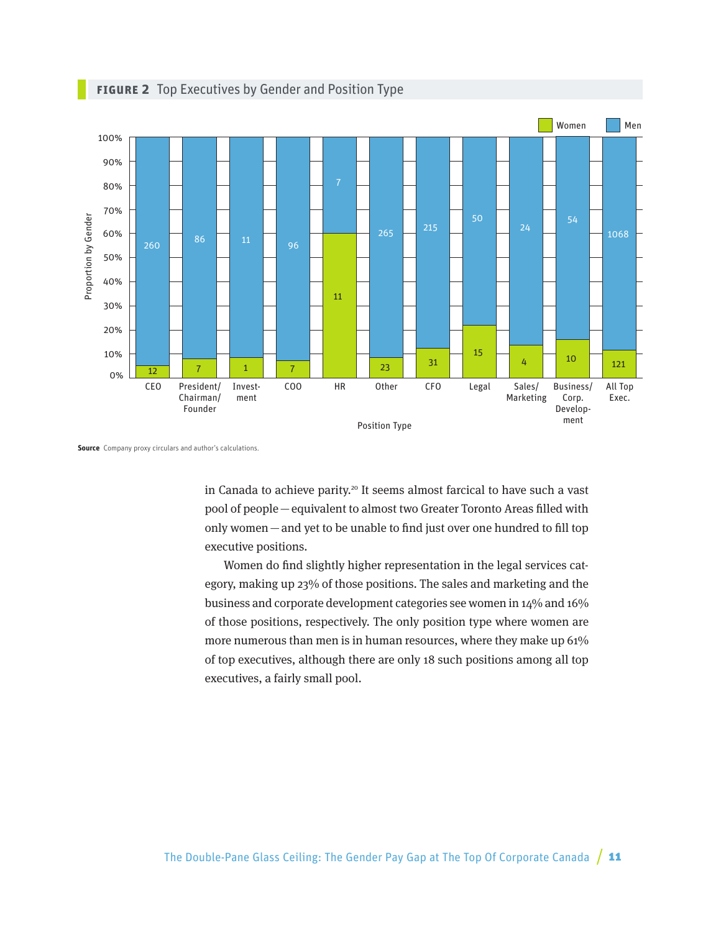

#### **Figure 2** Top Executives by Gender and Position Type

in Canada to achieve parity.<sup>20</sup> It seems almost farcical to have such a vast pool of people—equivalent to almost two Greater Toronto Areas filled with only women—and yet to be unable to find just over one hundred to fill top executive positions.

Women do find slightly higher representation in the legal services category, making up 23% of those positions. The sales and marketing and the business and corporate development categories see women in 14% and 16% of those positions, respectively. The only position type where women are more numerous than men is in human resources, where they make up 61% of top executives, although there are only 18 such positions among all top executives, a fairly small pool.

**Source** Company proxy circulars and author's calculations.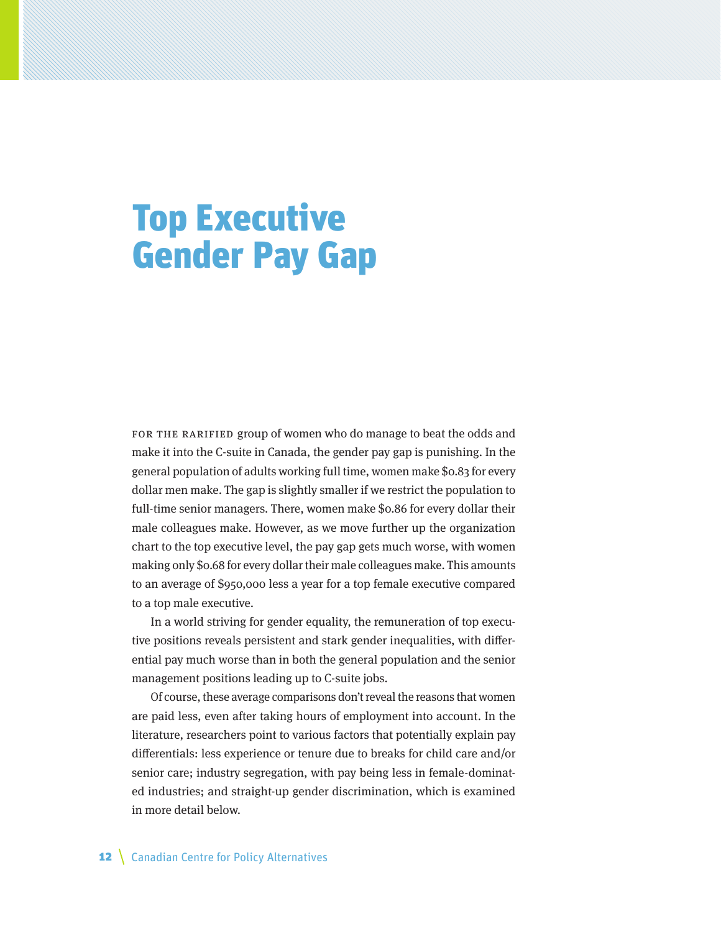## Top Executive Gender Pay Gap

FOR THE RARIFIED group of women who do manage to beat the odds and make it into the C-suite in Canada, the gender pay gap is punishing. In the general population of adults working full time, women make \$0.83 for every dollar men make. The gap is slightly smaller if we restrict the population to full-time senior managers. There, women make \$0.86 for every dollar their male colleagues make. However, as we move further up the organization chart to the top executive level, the pay gap gets much worse, with women making only \$0.68 for every dollar their male colleagues make. This amounts to an average of \$950,000 less a year for a top female executive compared to a top male executive.

In a world striving for gender equality, the remuneration of top executive positions reveals persistent and stark gender inequalities, with differential pay much worse than in both the general population and the senior management positions leading up to C-suite jobs.

Of course, these average comparisons don't reveal the reasons that women are paid less, even after taking hours of employment into account. In the literature, researchers point to various factors that potentially explain pay differentials: less experience or tenure due to breaks for child care and/or senior care; industry segregation, with pay being less in female-dominated industries; and straight-up gender discrimination, which is examined in more detail below.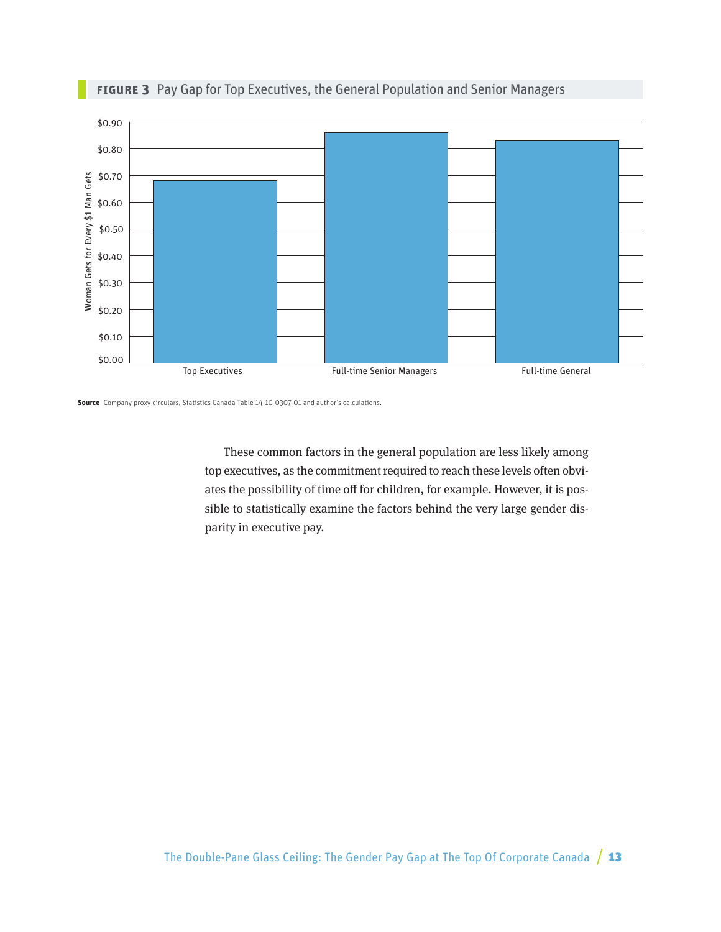

### **Figure 3** Pay Gap for Top Executives, the General Population and Senior Managers

**Source** Company proxy circulars, Statistics Canada Table 14-10-0307-01 and author's calculations.

These common factors in the general population are less likely among top executives, as the commitment required to reach these levels often obviates the possibility of time off for children, for example. However, it is possible to statistically examine the factors behind the very large gender disparity in executive pay.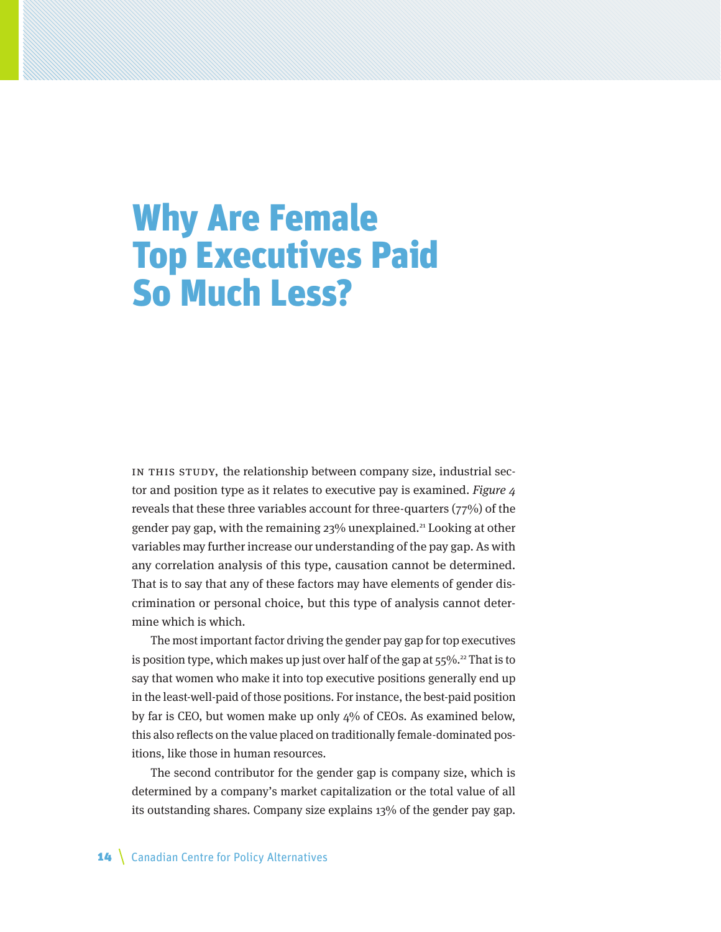### Why Are Female Top Executives Paid So Much Less?

IN THIS STUDY, the relationship between company size, industrial sector and position type as it relates to executive pay is examined. Figure 4 reveals that these three variables account for three-quarters (77%) of the gender pay gap, with the remaining 23% unexplained.21 Looking at other variables may further increase our understanding of the pay gap. As with any correlation analysis of this type, causation cannot be determined. That is to say that any of these factors may have elements of gender discrimination or personal choice, but this type of analysis cannot determine which is which.

The most important factor driving the gender pay gap for top executives is position type, which makes up just over half of the gap at  $55\%$ .<sup>22</sup> That is to say that women who make it into top executive positions generally end up in the least-well-paid of those positions. For instance, the best-paid position by far is CEO, but women make up only 4% of CEOs. As examined below, this also reflects on the value placed on traditionally female-dominated positions, like those in human resources.

The second contributor for the gender gap is company size, which is determined by a company's market capitalization or the total value of all its outstanding shares. Company size explains 13% of the gender pay gap.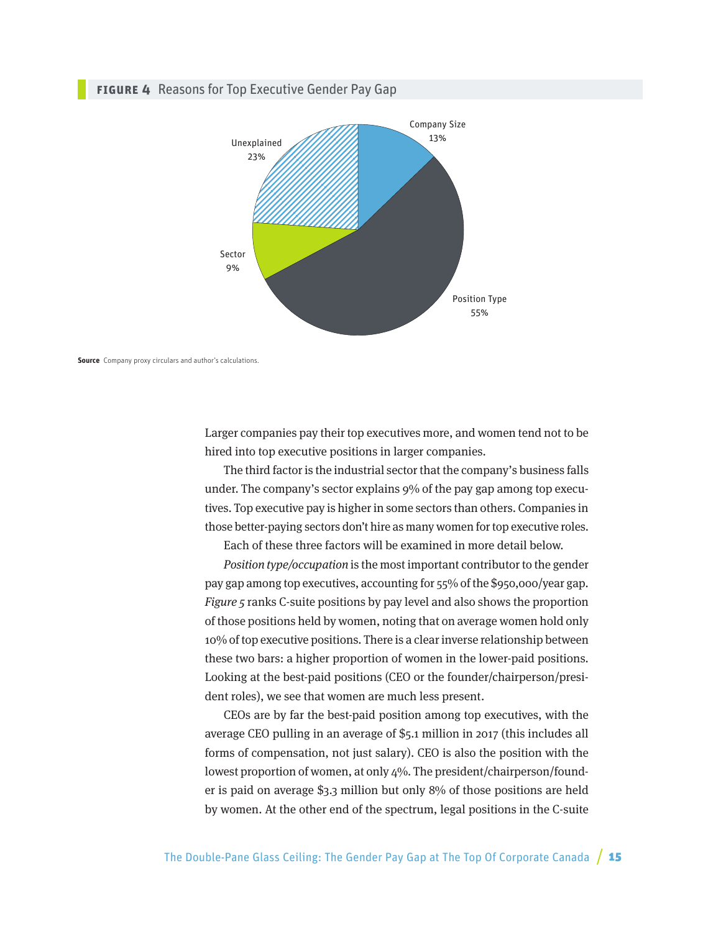#### **Figure 4** Reasons for Top Executive Gender Pay Gap



**Source** Company proxy circulars and author's calculations.

Larger companies pay their top executives more, and women tend not to be hired into top executive positions in larger companies.

The third factor is the industrial sector that the company's business falls under. The company's sector explains 9% of the pay gap among top executives. Top executive pay is higher in some sectors than others. Companies in those better-paying sectors don't hire as many women for top executive roles.

Each of these three factors will be examined in more detail below.

Position type/occupation is the most important contributor to the gender pay gap among top executives, accounting for 55% of the \$950,000/year gap. Figure 5 ranks C-suite positions by pay level and also shows the proportion of those positions held by women, noting that on average women hold only 10% of top executive positions. There is a clear inverse relationship between these two bars: a higher proportion of women in the lower-paid positions. Looking at the best-paid positions (CEO or the founder/chairperson/president roles), we see that women are much less present.

CEOs are by far the best-paid position among top executives, with the average CEO pulling in an average of \$5.1 million in 2017 (this includes all forms of compensation, not just salary). CEO is also the position with the lowest proportion of women, at only 4%. The president/chairperson/founder is paid on average \$3.3 million but only 8% of those positions are held by women. At the other end of the spectrum, legal positions in the C-suite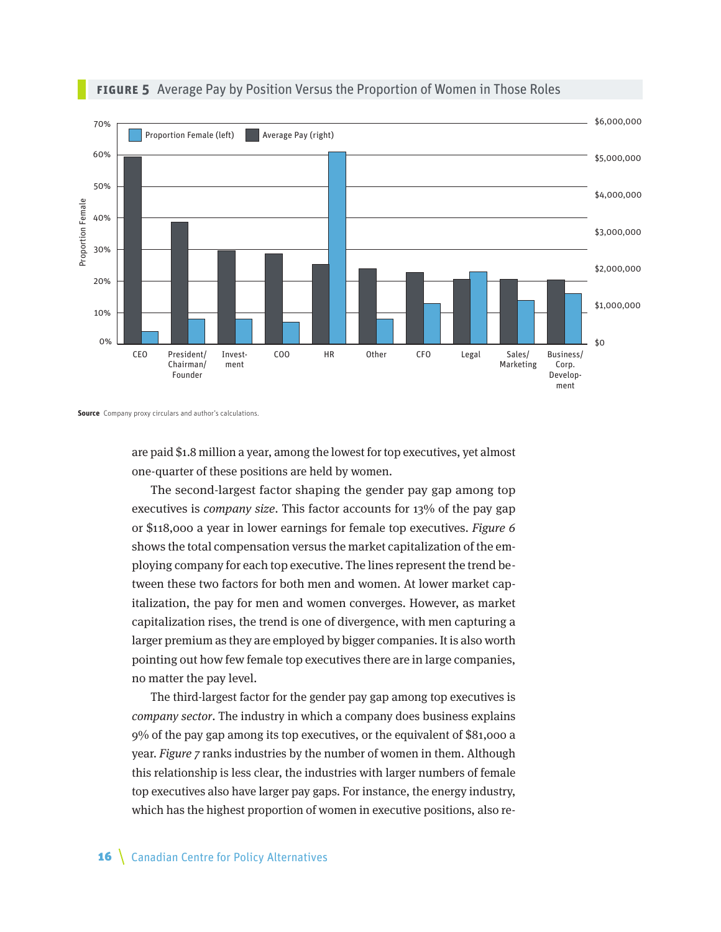

#### **FIGURE 5** Average Pay by Position Versus the Proportion of Women in Those Roles

**Source** Company proxy circulars and author's calculations.

are paid \$1.8 million a year, among the lowest for top executives, yet almost one-quarter of these positions are held by women.

The second-largest factor shaping the gender pay gap among top executives is *company size*. This factor accounts for 13% of the pay gap or \$118,000 a year in lower earnings for female top executives. Figure 6 shows the total compensation versus the market capitalization of the employing company for each top executive. The lines represent the trend between these two factors for both men and women. At lower market capitalization, the pay for men and women converges. However, as market capitalization rises, the trend is one of divergence, with men capturing a larger premium as they are employed by bigger companies. It is also worth pointing out how few female top executives there are in large companies, no matter the pay level.

The third-largest factor for the gender pay gap among top executives is company sector. The industry in which a company does business explains 9% of the pay gap among its top executives, or the equivalent of \$81,000 a year. Figure 7 ranks industries by the number of women in them. Although this relationship is less clear, the industries with larger numbers of female top executives also have larger pay gaps. For instance, the energy industry, which has the highest proportion of women in executive positions, also re-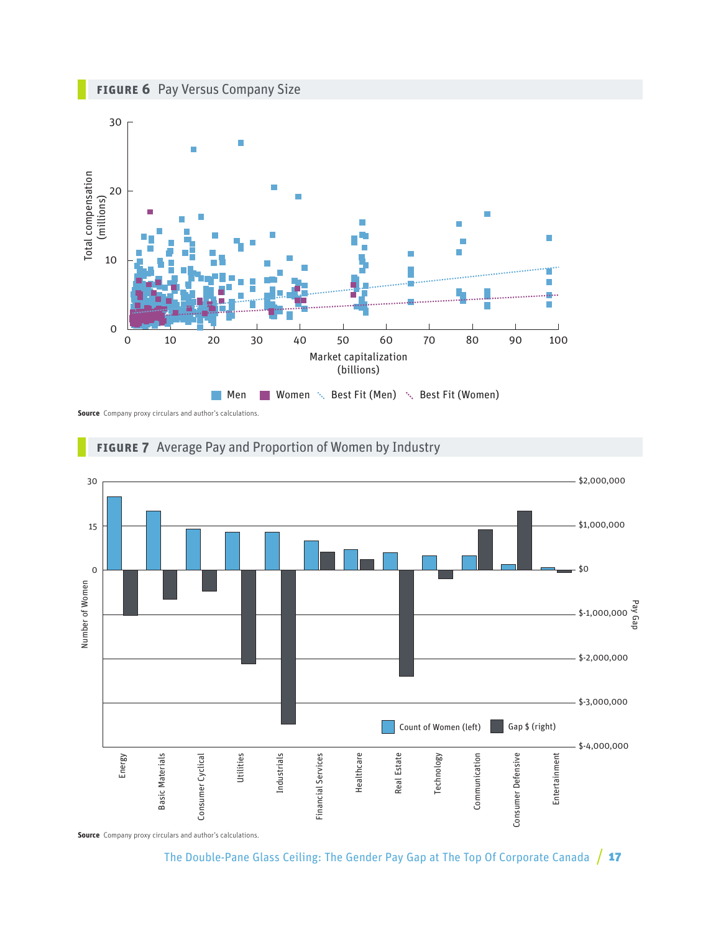





**Source** Company proxy circulars and author's calculations.



#### **Figure 7** Average Pay and Proportion of Women by Industry

The Double-Pane Glass Ceiling: The Gender Pay Gap at The Top Of Corporate Canada  $/17$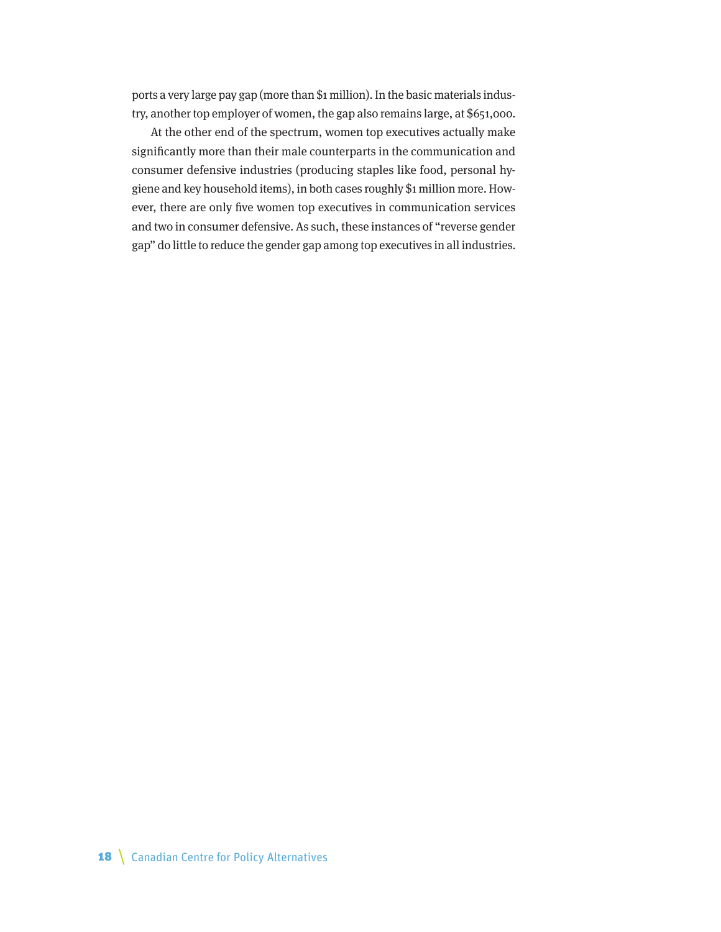ports a very large pay gap (more than \$1 million). In the basic materials industry, another top employer of women, the gap also remains large, at \$651,000.

At the other end of the spectrum, women top executives actually make significantly more than their male counterparts in the communication and consumer defensive industries (producing staples like food, personal hygiene and key household items), in both cases roughly \$1 million more. However, there are only five women top executives in communication services and two in consumer defensive. As such, these instances of "reverse gender gap" do little to reduce the gender gap among top executives in all industries.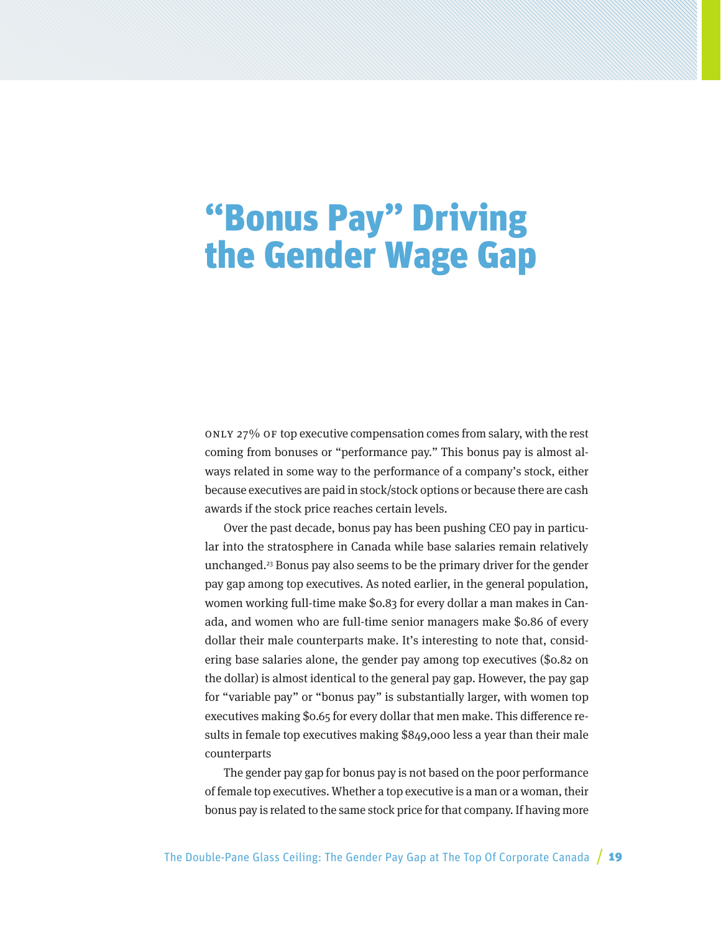## "Bonus Pay" Driving the Gender Wage Gap

Only 27% of top executive compensation comes from salary, with the rest coming from bonuses or "performance pay." This bonus pay is almost always related in some way to the performance of a company's stock, either because executives are paid in stock/stock options or because there are cash awards if the stock price reaches certain levels.

Over the past decade, bonus pay has been pushing CEO pay in particular into the stratosphere in Canada while base salaries remain relatively unchanged.23 Bonus pay also seems to be the primary driver for the gender pay gap among top executives. As noted earlier, in the general population, women working full-time make \$0.83 for every dollar a man makes in Canada, and women who are full-time senior managers make \$0.86 of every dollar their male counterparts make. It's interesting to note that, considering base salaries alone, the gender pay among top executives (\$0.82 on the dollar) is almost identical to the general pay gap. However, the pay gap for "variable pay" or "bonus pay" is substantially larger, with women top executives making \$0.65 for every dollar that men make. This difference results in female top executives making \$849,000 less a year than their male counterparts

The gender pay gap for bonus pay is not based on the poor performance of female top executives. Whether a top executive is a man or a woman, their bonus pay is related to the same stock price for that company. If having more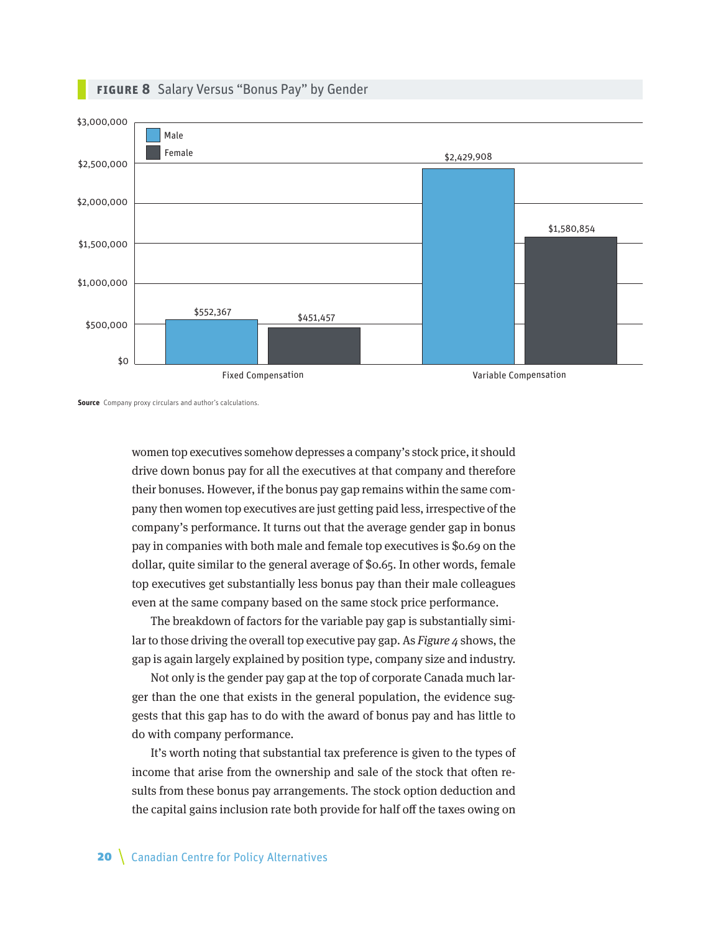

### **Figure 8** Salary Versus "Bonus Pay" by Gender

**Source** Company proxy circulars and author's calculations.

women top executives somehow depresses a company's stock price, it should drive down bonus pay for all the executives at that company and therefore their bonuses. However, if the bonus pay gap remains within the same company then women top executives are just getting paid less, irrespective of the company's performance. It turns out that the average gender gap in bonus pay in companies with both male and female top executives is \$0.69 on the dollar, quite similar to the general average of \$0.65. In other words, female top executives get substantially less bonus pay than their male colleagues even at the same company based on the same stock price performance.

The breakdown of factors for the variable pay gap is substantially similar to those driving the overall top executive pay gap. As  $Figure 4$  shows, the gap is again largely explained by position type, company size and industry.

Not only is the gender pay gap at the top of corporate Canada much larger than the one that exists in the general population, the evidence suggests that this gap has to do with the award of bonus pay and has little to do with company performance.

It's worth noting that substantial tax preference is given to the types of income that arise from the ownership and sale of the stock that often results from these bonus pay arrangements. The stock option deduction and the capital gains inclusion rate both provide for half off the taxes owing on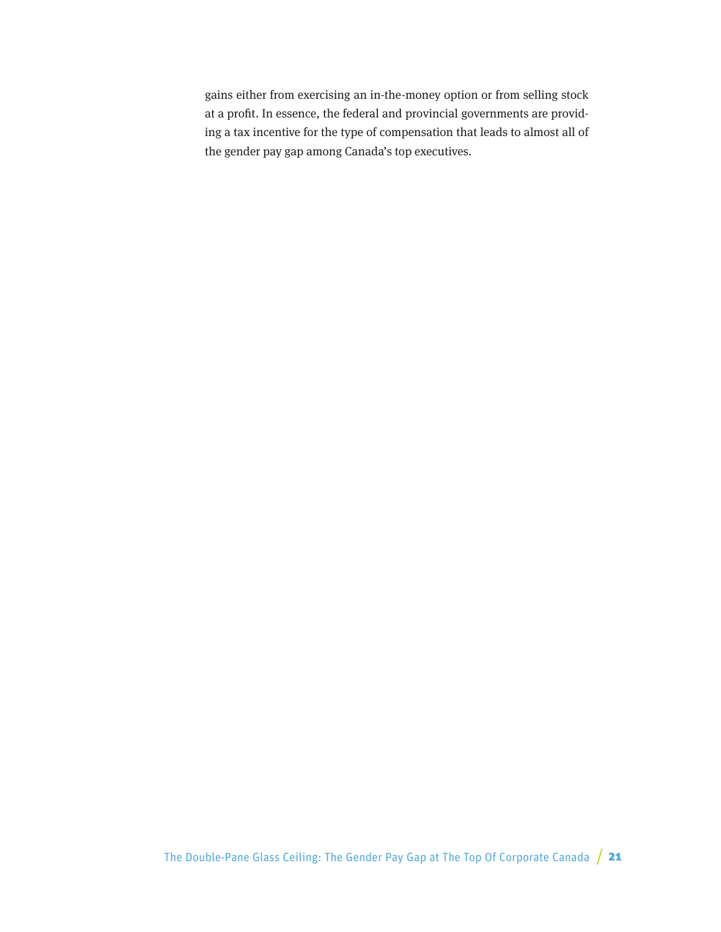gains either from exercising an in-the-money option or from selling stock at a profit. In essence, the federal and provincial governments are providing a tax incentive for the type of compensation that leads to almost all of the gender pay gap among Canada's top executives.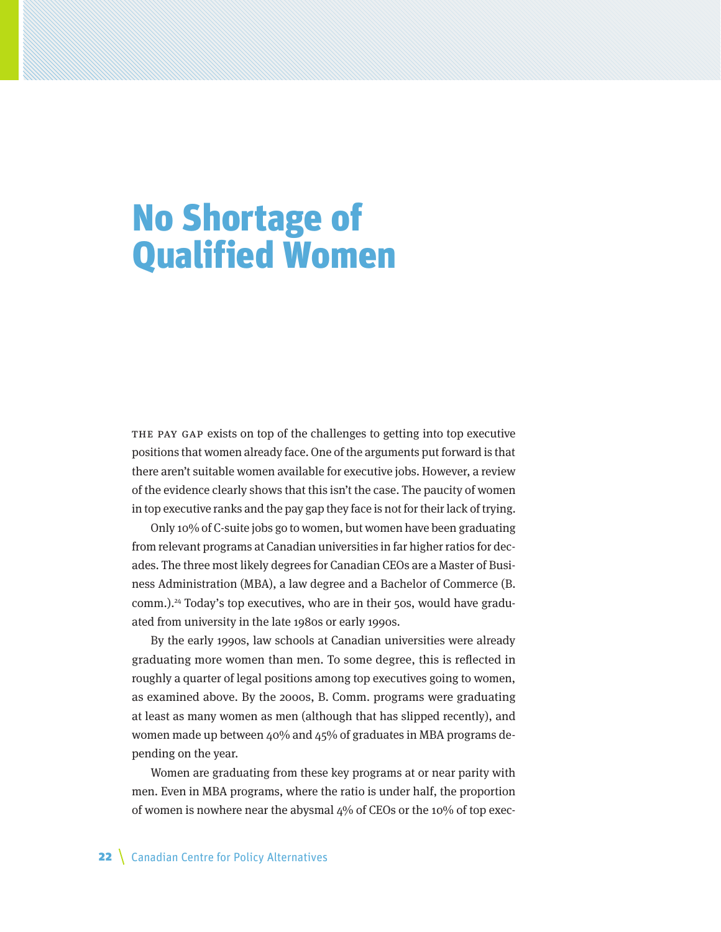# No Shortage of Qualified Women

The pay gap exists on top of the challenges to getting into top executive positions that women already face. One of the arguments put forward is that there aren't suitable women available for executive jobs. However, a review of the evidence clearly shows that this isn't the case. The paucity of women in top executive ranks and the pay gap they face is not for their lack of trying.

Only 10% of C-suite jobs go to women, but women have been graduating from relevant programs at Canadian universities in far higher ratios for decades. The three most likely degrees for Canadian CEOs are a Master of Business Administration (MBA), a law degree and a Bachelor of Commerce (B. comm.).24 Today's top executives, who are in their 50s, would have graduated from university in the late 1980s or early 1990s.

By the early 1990s, law schools at Canadian universities were already graduating more women than men. To some degree, this is reflected in roughly a quarter of legal positions among top executives going to women, as examined above. By the 2000s, B. Comm. programs were graduating at least as many women as men (although that has slipped recently), and women made up between 40% and 45% of graduates in MBA programs depending on the year.

Women are graduating from these key programs at or near parity with men. Even in MBA programs, where the ratio is under half, the proportion of women is nowhere near the abysmal  $4\%$  of CEOs or the 10% of top exec-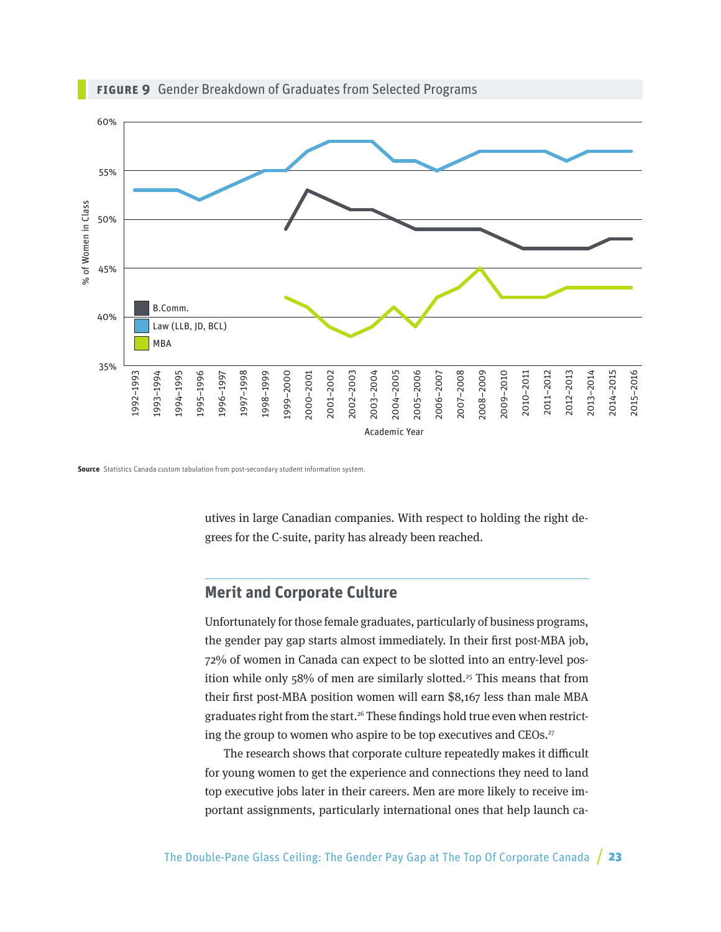

**Figure 9** Gender Breakdown of Graduates from Selected Programs

**Source** Statistics Canada custom tabulation from post-secondary student information system.

utives in large Canadian companies. With respect to holding the right degrees for the C-suite, parity has already been reached.

### **Merit and Corporate Culture**

Unfortunately for those female graduates, particularly of business programs, the gender pay gap starts almost immediately. In their first post-MBA job, 72% of women in Canada can expect to be slotted into an entry-level position while only  $58%$  of men are similarly slotted.<sup>25</sup> This means that from their first post-MBA position women will earn \$8,167 less than male MBA graduates right from the start.<sup>26</sup> These findings hold true even when restricting the group to women who aspire to be top executives and CEOs.<sup>27</sup>

The research shows that corporate culture repeatedly makes it difficult for young women to get the experience and connections they need to land top executive jobs later in their careers. Men are more likely to receive important assignments, particularly international ones that help launch ca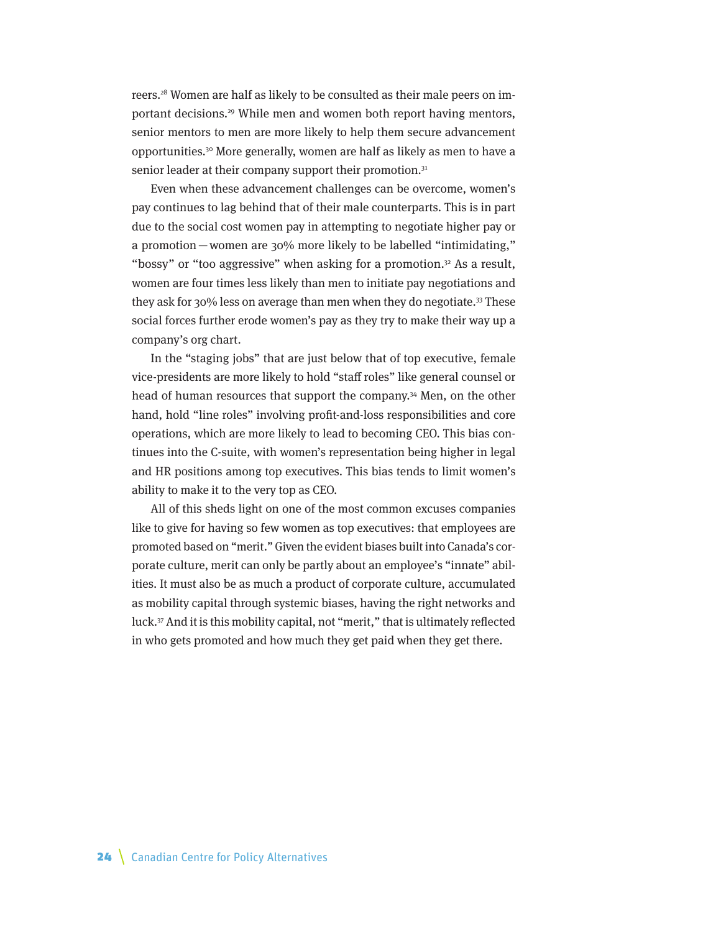reers.28 Women are half as likely to be consulted as their male peers on important decisions.29 While men and women both report having mentors, senior mentors to men are more likely to help them secure advancement opportunities.30 More generally, women are half as likely as men to have a senior leader at their company support their promotion.<sup>31</sup>

Even when these advancement challenges can be overcome, women's pay continues to lag behind that of their male counterparts. This is in part due to the social cost women pay in attempting to negotiate higher pay or a promotion—women are 30% more likely to be labelled "intimidating," "bossy" or "too aggressive" when asking for a promotion.<sup>32</sup> As a result, women are four times less likely than men to initiate pay negotiations and they ask for 30% less on average than men when they do negotiate.33 These social forces further erode women's pay as they try to make their way up a company's org chart.

In the "staging jobs" that are just below that of top executive, female vice-presidents are more likely to hold "staff roles" like general counsel or head of human resources that support the company.<sup>34</sup> Men, on the other hand, hold "line roles" involving profit-and-loss responsibilities and core operations, which are more likely to lead to becoming CEO. This bias continues into the C-suite, with women's representation being higher in legal and HR positions among top executives. This bias tends to limit women's ability to make it to the very top as CEO.

All of this sheds light on one of the most common excuses companies like to give for having so few women as top executives: that employees are promoted based on "merit." Given the evident biases built into Canada's corporate culture, merit can only be partly about an employee's "innate" abilities. It must also be as much a product of corporate culture, accumulated as mobility capital through systemic biases, having the right networks and luck.37 And it is this mobility capital, not "merit," that is ultimately reflected in who gets promoted and how much they get paid when they get there.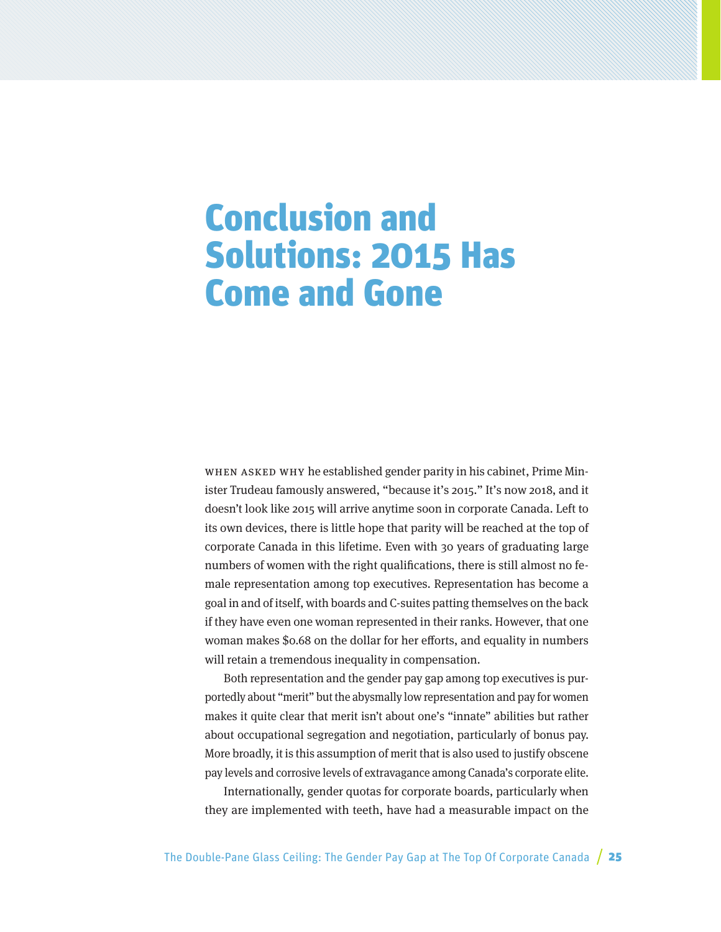## Conclusion and Solutions: 2015 Has Come and Gone

When asked why he established gender parity in his cabinet, Prime Minister Trudeau famously answered, "because it's 2015." It's now 2018, and it doesn't look like 2015 will arrive anytime soon in corporate Canada. Left to its own devices, there is little hope that parity will be reached at the top of corporate Canada in this lifetime. Even with 30 years of graduating large numbers of women with the right qualifications, there is still almost no female representation among top executives. Representation has become a goal in and of itself, with boards and C-suites patting themselves on the back if they have even one woman represented in their ranks. However, that one woman makes \$0.68 on the dollar for her efforts, and equality in numbers will retain a tremendous inequality in compensation.

Both representation and the gender pay gap among top executives is purportedly about "merit" but the abysmally low representation and pay for women makes it quite clear that merit isn't about one's "innate" abilities but rather about occupational segregation and negotiation, particularly of bonus pay. More broadly, it is this assumption of merit that is also used to justify obscene pay levels and corrosive levels of extravagance among Canada's corporate elite.

Internationally, gender quotas for corporate boards, particularly when they are implemented with teeth, have had a measurable impact on the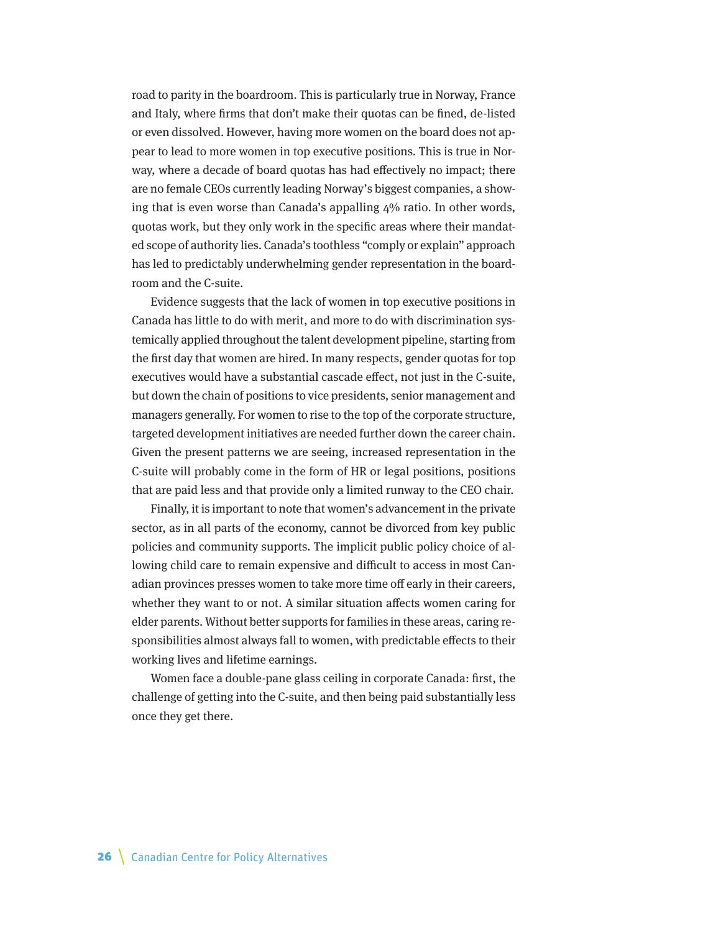road to parity in the boardroom. This is particularly true in Norway, France and Italy, where firms that don't make their quotas can be fined, de-listed or even dissolved. However, having more women on the board does not appear to lead to more women in top executive positions. This is true in Norway, where a decade of board quotas has had effectively no impact; there are no female CEOs currently leading Norway's biggest companies, a showing that is even worse than Canada's appalling 4% ratio. In other words, quotas work, but they only work in the specific areas where their mandated scope of authority lies. Canada's toothless "comply or explain" approach has led to predictably underwhelming gender representation in the boardroom and the C-suite.

Evidence suggests that the lack of women in top executive positions in Canada has little to do with merit, and more to do with discrimination systemically applied throughout the talent development pipeline, starting from the first day that women are hired. In many respects, gender quotas for top executives would have a substantial cascade effect, not just in the C-suite, but down the chain of positions to vice presidents, senior management and managers generally. For women to rise to the top of the corporate structure, targeted development initiatives are needed further down the career chain. Given the present patterns we are seeing, increased representation in the C-suite will probably come in the form of HR or legal positions, positions that are paid less and that provide only a limited runway to the CEO chair.

Finally, it is important to note that women's advancement in the private sector, as in all parts of the economy, cannot be divorced from key public policies and community supports. The implicit public policy choice of allowing child care to remain expensive and difficult to access in most Canadian provinces presses women to take more time off early in their careers, whether they want to or not. A similar situation affects women caring for elder parents. Without better supports for families in these areas, caring responsibilities almost always fall to women, with predictable effects to their working lives and lifetime earnings.

Women face a double-pane glass ceiling in corporate Canada: first, the challenge of getting into the C-suite, and then being paid substantially less once they get there.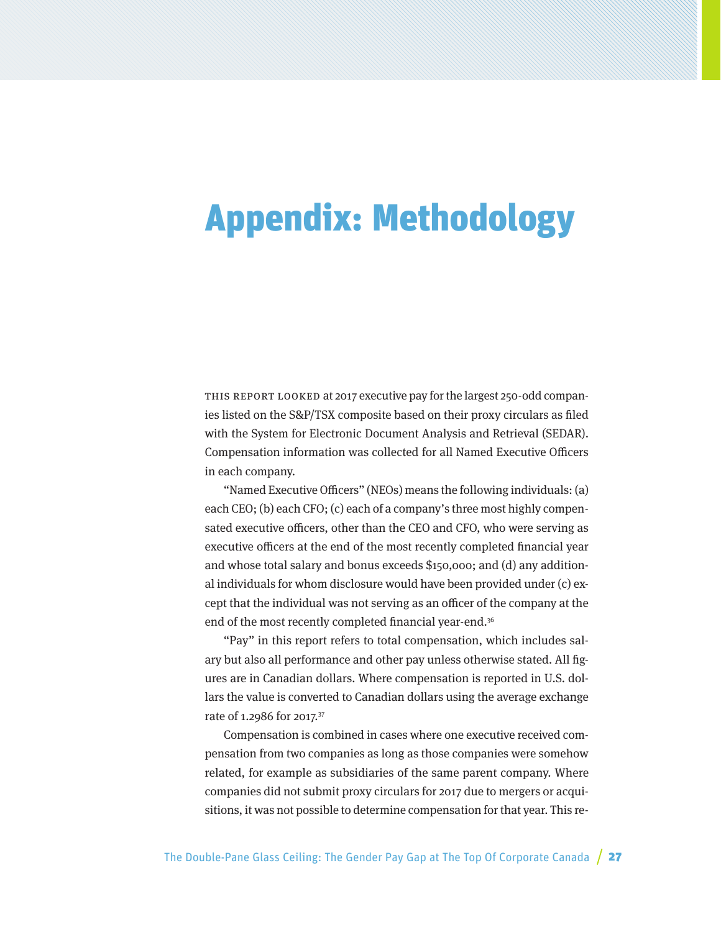# Appendix: Methodology

THIS REPORT LOOKED at 2017 executive pay for the largest 250-odd companies listed on the S&P/TSX composite based on their proxy circulars as filed with the System for Electronic Document Analysis and Retrieval (SEDAR). Compensation information was collected for all Named Executive Officers in each company.

"Named Executive Officers" (NEOs) means the following individuals: (a) each CEO; (b) each CFO; (c) each of a company's three most highly compensated executive officers, other than the CEO and CFO, who were serving as executive officers at the end of the most recently completed financial year and whose total salary and bonus exceeds \$150,000; and (d) any additional individuals for whom disclosure would have been provided under (c) except that the individual was not serving as an officer of the company at the end of the most recently completed financial year-end.<sup>36</sup>

"Pay" in this report refers to total compensation, which includes salary but also all performance and other pay unless otherwise stated. All figures are in Canadian dollars. Where compensation is reported in U.S. dollars the value is converted to Canadian dollars using the average exchange rate of 1.2986 for 2017.37

Compensation is combined in cases where one executive received compensation from two companies as long as those companies were somehow related, for example as subsidiaries of the same parent company. Where companies did not submit proxy circulars for 2017 due to mergers or acquisitions, it was not possible to determine compensation for that year. This re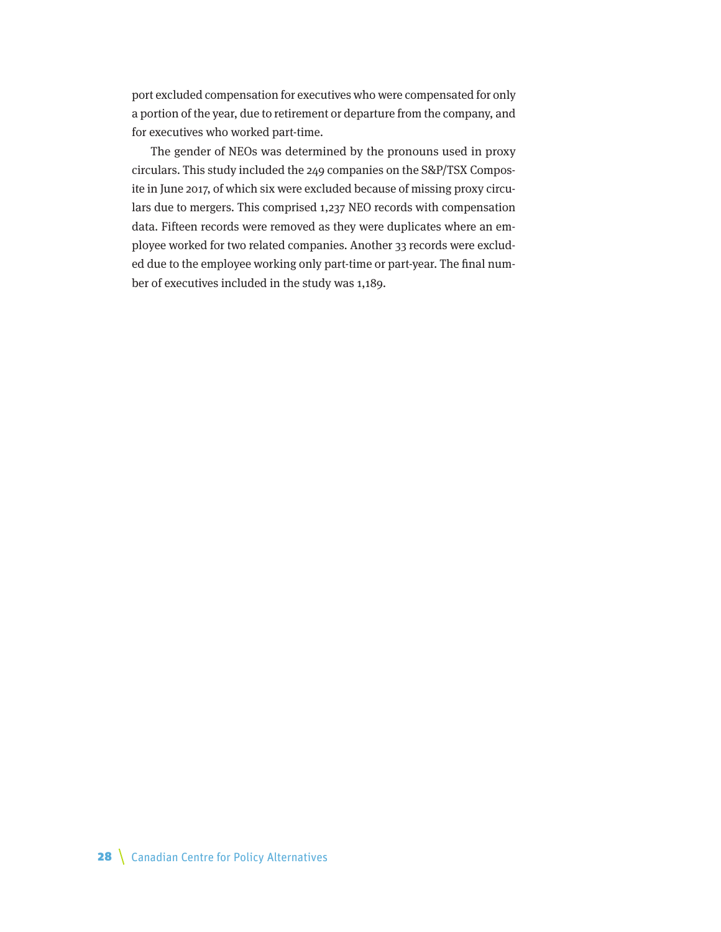port excluded compensation for executives who were compensated for only a portion of the year, due to retirement or departure from the company, and for executives who worked part-time.

The gender of NEOs was determined by the pronouns used in proxy circulars. This study included the 249 companies on the S&P/TSX Composite in June 2017, of which six were excluded because of missing proxy circulars due to mergers. This comprised 1,237 NEO records with compensation data. Fifteen records were removed as they were duplicates where an employee worked for two related companies. Another 33 records were excluded due to the employee working only part-time or part-year. The final number of executives included in the study was 1,189.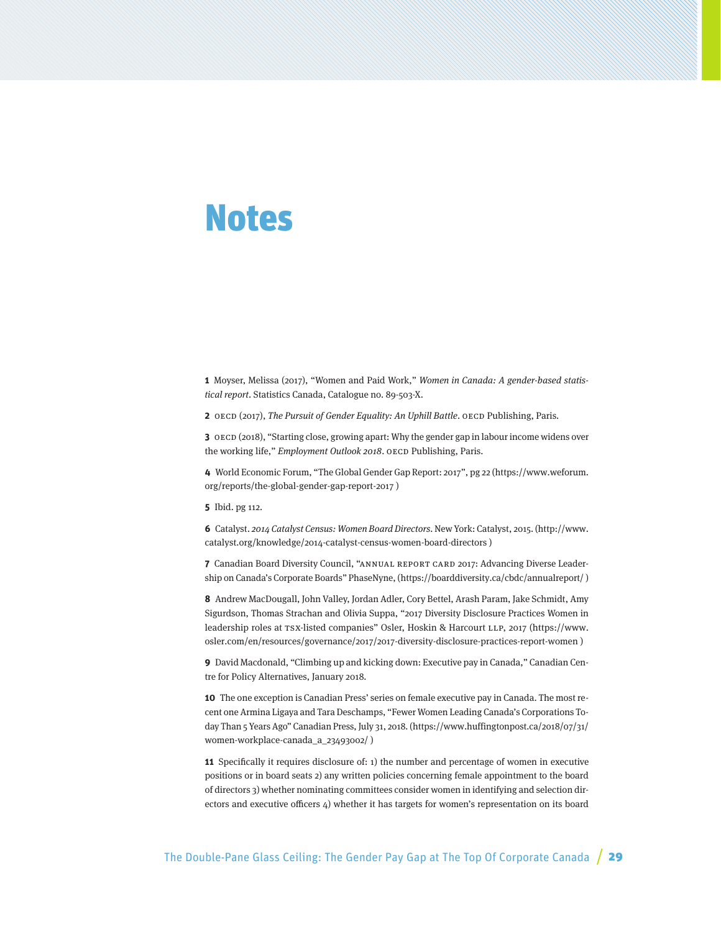### Notes

**1** Moyser, Melissa (2017), "Women and Paid Work," Women in Canada: A gender-based statistical report. Statistics Canada, Catalogue no. 89-503-X.

**2** OECD (2017), The Pursuit of Gender Equality: An Uphill Battle. OECD Publishing, Paris.

**3** OECD (2018), "Starting close, growing apart: Why the gender gap in labour income widens over the working life," Employment Outlook 2018. OECD Publishing, Paris.

**4** World Economic Forum, "The Global Gender Gap Report: 2017", pg 22 (https://www.weforum. org/reports/the-global-gender-gap-report-2017 )

**5** Ibid. pg 112.

**6** Catalyst. 2014 Catalyst Census: Women Board Directors. New York: Catalyst, 2015. (http://www. catalyst.org/knowledge/2014-catalyst-census-women-board-directors )

**7** Canadian Board Diversity Council, "ANNUAL REPORT CARD 2017: Advancing Diverse Leadership on Canada's Corporate Boards" PhaseNyne, (https://boarddiversity.ca/cbdc/annualreport/ )

**8** Andrew MacDougall, John Valley, Jordan Adler, Cory Bettel, Arash Param, Jake Schmidt, Amy Sigurdson, Thomas Strachan and Olivia Suppa, "2017 Diversity Disclosure Practices Women in leadership roles at TSX-listed companies" Osler, Hoskin & Harcourt LLP, 2017 (https://www. osler.com/en/resources/governance/2017/2017-diversity-disclosure-practices-report-women )

**9** David Macdonald, "Climbing up and kicking down: Executive pay in Canada," Canadian Centre for Policy Alternatives, January 2018.

**10** The one exception is Canadian Press' series on female executive pay in Canada. The most recent one Armina Ligaya and Tara Deschamps, "Fewer Women Leading Canada's Corporations Today Than 5 Years Ago" Canadian Press, July 31, 2018. (https://www.huffingtonpost.ca/2018/07/31/ women-workplace-canada\_a\_23493002/ )

**11** Specifically it requires disclosure of: 1) the number and percentage of women in executive positions or in board seats 2) any written policies concerning female appointment to the board of directors 3) whether nominating committees consider women in identifying and selection directors and executive officers  $4$ ) whether it has targets for women's representation on its board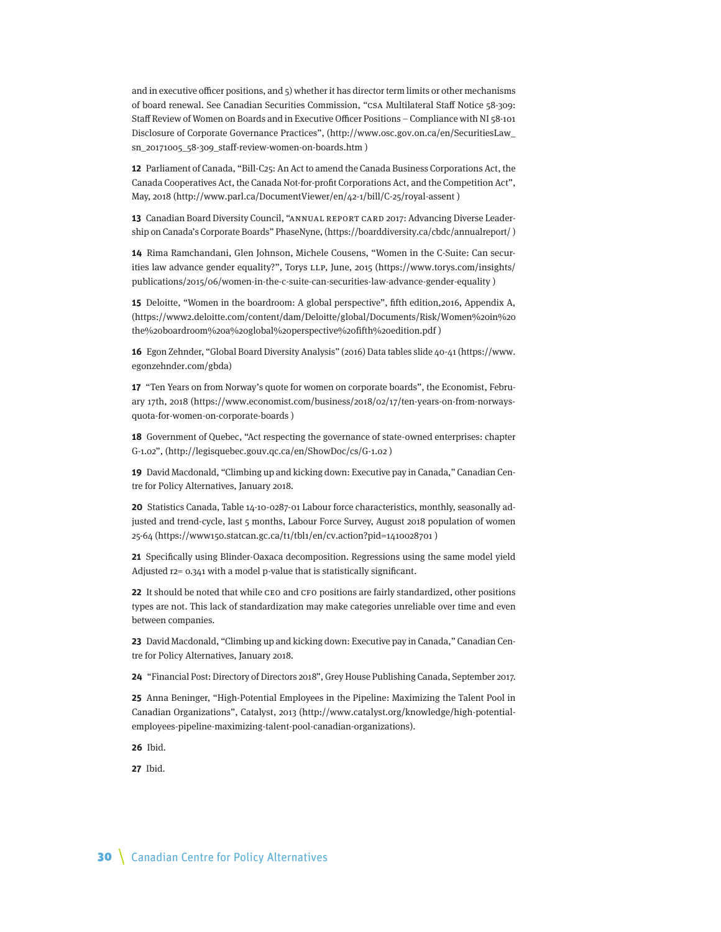and in executive officer positions, and 5) whether it has director term limits or other mechanisms of board renewal. See Canadian Securities Commission, "CSA Multilateral Staff Notice 58-309: Staff Review of Women on Boards and in Executive Officer Positions – Compliance with NI 58-101 Disclosure of Corporate Governance Practices", (http://www.osc.gov.on.ca/en/SecuritiesLaw\_ sn\_20171005\_58-309\_staff-review-women-on-boards.htm )

**12** Parliament of Canada, "Bill-C25: An Act to amend the Canada Business Corporations Act, the Canada Cooperatives Act, the Canada Not-for-profit Corporations Act, and the Competition Act", May, 2018 (http://www.parl.ca/DocumentViewer/en/42-1/bill/C-25/royal-assent )

**13** Canadian Board Diversity Council, "ANNUAL REPORT CARD 2017: Advancing Diverse Leadership on Canada's Corporate Boards" PhaseNyne, (https://boarddiversity.ca/cbdc/annualreport/ )

**14** Rima Ramchandani, Glen Johnson, Michele Cousens, "Women in the C-Suite: Can securities law advance gender equality?", Torys LLP, June, 2015 (https://www.torys.com/insights/ publications/2015/06/women-in-the-c-suite-can-securities-law-advance-gender-equality )

**15** Deloitte, "Women in the boardroom: A global perspective", fifth edition,2016, Appendix A, (https://www2.deloitte.com/content/dam/Deloitte/global/Documents/Risk/Women%20in%20 the%20boardroom%20a%20global%20perspective%20fifth%20edition.pdf )

**16** Egon Zehnder, "Global Board Diversity Analysis" (2016) Data tables slide 40-41 (https://www. egonzehnder.com/gbda)

**17** "Ten Years on from Norway's quote for women on corporate boards", the Economist, February 17th, 2018 (https://www.economist.com/business/2018/02/17/ten-years-on-from-norwaysquota-for-women-on-corporate-boards )

**18** Government of Quebec, "Act respecting the governance of state-owned enterprises: chapter G-1.02", (http://legisquebec.gouv.qc.ca/en/ShowDoc/cs/G-1.02 )

**19** David Macdonald, "Climbing up and kicking down: Executive pay in Canada," Canadian Centre for Policy Alternatives, January 2018.

**20** Statistics Canada, Table 14-10-0287-01 Labour force characteristics, monthly, seasonally adjusted and trend-cycle, last 5 months, Labour Force Survey, August 2018 population of women 25-64 (https://www150.statcan.gc.ca/t1/tbl1/en/cv.action?pid=1410028701 )

**21** Specifically using Blinder-Oaxaca decomposition. Regressions using the same model yield Adjusted r2= 0.341 with a model p-value that is statistically significant.

**22** It should be noted that while CEO and CFO positions are fairly standardized, other positions types are not. This lack of standardization may make categories unreliable over time and even between companies.

**23** David Macdonald, "Climbing up and kicking down: Executive pay in Canada," Canadian Centre for Policy Alternatives, January 2018.

**24** "Financial Post: Directory of Directors 2018", Grey House Publishing Canada, September 2017.

**25** Anna Beninger, "High-Potential Employees in the Pipeline: Maximizing the Talent Pool in Canadian Organizations", Catalyst, 2013 (http://www.catalyst.org/knowledge/high-potentialemployees-pipeline-maximizing-talent-pool-canadian-organizations).

**26** Ibid.

**27** Ibid.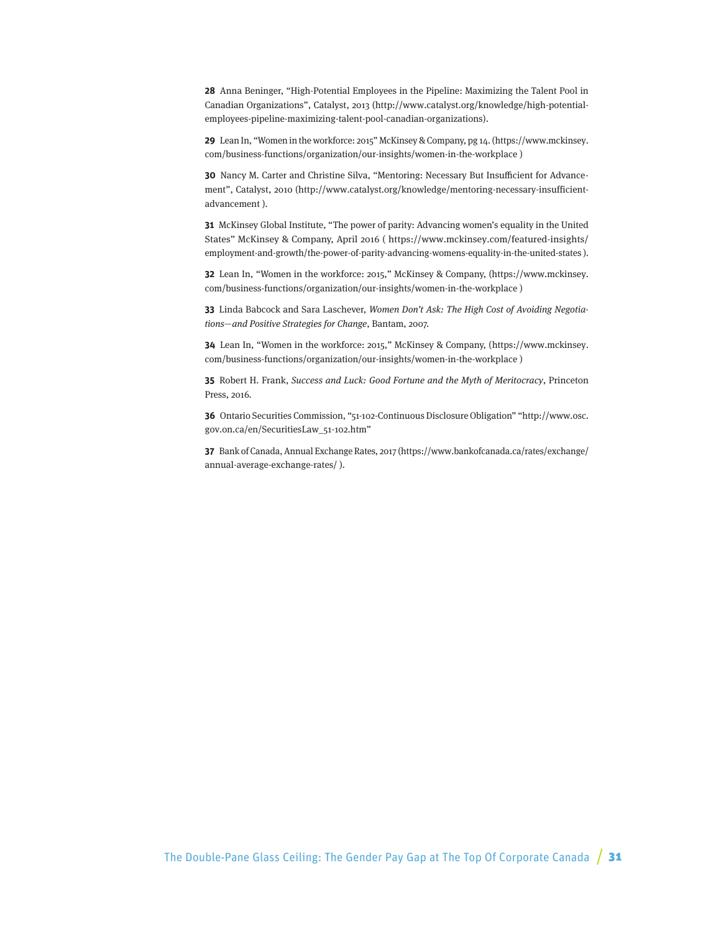**28** Anna Beninger, "High-Potential Employees in the Pipeline: Maximizing the Talent Pool in Canadian Organizations", Catalyst, 2013 (http://www.catalyst.org/knowledge/high-potentialemployees-pipeline-maximizing-talent-pool-canadian-organizations).

**29** Lean In, "Women in the workforce: 2015" McKinsey & Company, pg 14. (https://www.mckinsey. com/business-functions/organization/our-insights/women-in-the-workplace )

**30** Nancy M. Carter and Christine Silva, "Mentoring: Necessary But Insufficient for Advancement", Catalyst, 2010 (http://www.catalyst.org/knowledge/mentoring-necessary-insufficientadvancement ).

**31** McKinsey Global Institute, "The power of parity: Advancing women's equality in the United States" McKinsey & Company, April 2016 ( https://www.mckinsey.com/featured-insights/ employment-and-growth/the-power-of-parity-advancing-womens-equality-in-the-united-states ).

**32** Lean In, "Women in the workforce: 2015," McKinsey & Company, (https://www.mckinsey. com/business-functions/organization/our-insights/women-in-the-workplace )

**33** Linda Babcock and Sara Laschever, Women Don't Ask: The High Cost of Avoiding Negotiations—and Positive Strategies for Change, Bantam, 2007.

**34** Lean In, "Women in the workforce: 2015," McKinsey & Company, (https://www.mckinsey. com/business-functions/organization/our-insights/women-in-the-workplace )

**35** Robert H. Frank, Success and Luck: Good Fortune and the Myth of Meritocracy, Princeton Press, 2016.

**36** Ontario Securities Commission, "51-102-Continuous Disclosure Obligation" "http://www.osc. gov.on.ca/en/SecuritiesLaw\_51-102.htm"

**37** Bank of Canada, Annual Exchange Rates, 2017 (https://www.bankofcanada.ca/rates/exchange/ annual-average-exchange-rates/ ).